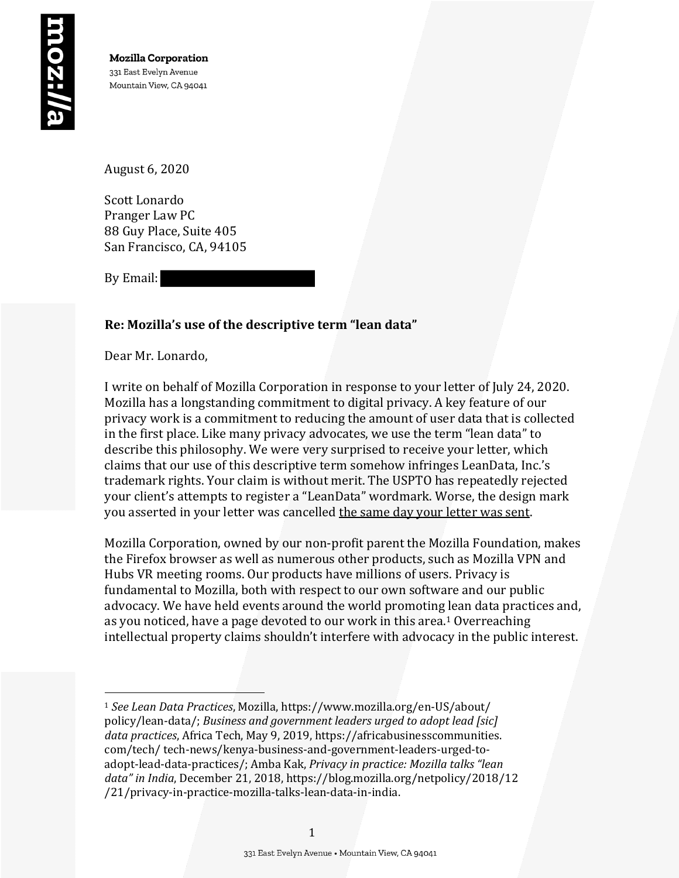August 6, 2020

Scott Lonardo Pranger Law PC 88 Guy Place, Suite 405 San Francisco, CA, 94105

By Email:

# Re: Mozilla's use of the descriptive term "lean data"

Dear Mr. Lonardo,

I write on behalf of Mozilla Corporation in response to your letter of July 24, 2020. Mozilla has a longstanding commitment to digital privacy. A key feature of our privacy work is a commitment to reducing the amount of user data that is collected in the first place. Like many privacy advocates, we use the term "lean data" to describe this philosophy. We were very surprised to receive your letter, which claims that our use of this descriptive term somehow infringes LeanData, Inc.'s trademark rights. Your claim is without merit. The USPTO has repeatedly rejected your client's attempts to register a "LeanData" wordmark. Worse, the design mark you asserted in your letter was cancelled the same day your letter was sent.

Mozilla Corporation, owned by our non-profit parent the Mozilla Foundation, makes the Firefox browser as well as numerous other products, such as Mozilla VPN and Hubs VR meeting rooms. Our products have millions of users. Privacy is fundamental to Mozilla, both with respect to our own software and our public advocacy. We have held events around the world promoting lean data practices and, as you noticed, have a page devoted to our work in this area.<sup>1</sup> Overreaching intellectual property claims shouldn't interfere with advocacy in the public interest.

<sup>&</sup>lt;sup>1</sup> See Lean Data Practices, Mozilla, https://www.mozilla.org/en-US/about/ policy/lean-data/; *Business and government leaders urged to adopt lead [sic]* data practices, Africa Tech, May 9, 2019, https://africabusinesscommunities. com/tech/ tech-news/kenya-business-and-government-leaders-urged-toadopt-lead-data-practices/; Amba Kak, Privacy in practice: Mozilla talks "lean data" in India, December 21, 2018, https://blog.mozilla.org/netpolicy/2018/12 /21/privacy-in-practice-mozilla-talks-lean-data-in-india.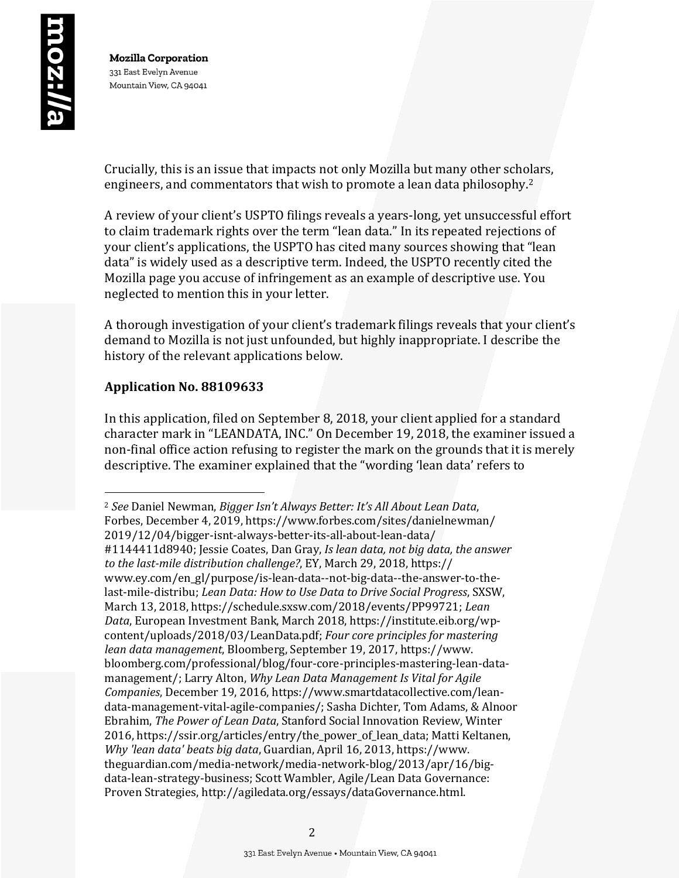Crucially, this is an issue that impacts not only Mozilla but many other scholars, engineers, and commentators that wish to promote a lean data philosophy.<sup>2</sup>

A review of your client's USPTO filings reveals a years-long, yet unsuccessful effort to claim trademark rights over the term "lean data." In its repeated rejections of your client's applications, the USPTO has cited many sources showing that "lean data" is widely used as a descriptive term. Indeed, the USPTO recently cited the Mozilla page you accuse of infringement as an example of descriptive use. You neglected to mention this in your letter.

A thorough investigation of your client's trademark filings reveals that your client's demand to Mozilla is not just unfounded, but highly inappropriate. I describe the history of the relevant applications below.

## **Application No. 88109633**

In this application, filed on September 8, 2018, your client applied for a standard character mark in "LEANDATA, INC." On December 19, 2018, the examiner issued a non-final office action refusing to register the mark on the grounds that it is merely descriptive. The examiner explained that the "wording 'lean data' refers to

<sup>&</sup>lt;sup>2</sup> See Daniel Newman, *Bigger Isn't Always Better: It's All About Lean Data*, Forbes, December 4, 2019, https://www.forbes.com/sites/danielnewman/ 2019/12/04/bigger-isnt-always-better-its-all-about-lean-data/ #1144411d8940; Jessie Coates, Dan Gray, *Is lean data, not big data, the answer* to the last-mile distribution challenge?, EY, March 29, 2018, https:// www.ey.com/en\_gl/purpose/is-lean-data--not-big-data--the-answer-to-thelast-mile-distribu; *Lean Data: How to Use Data to Drive Social Progress*, SXSW, March 13, 2018, https://schedule.sxsw.com/2018/events/PP99721; Lean Data, European Investment Bank, March 2018, https://institute.eib.org/wpcontent/uploads/2018/03/LeanData.pdf; Four core principles for mastering lean data management, Bloomberg, September 19, 2017, https://www. bloomberg.com/professional/blog/four-core-principles-mastering-lean-datamanagement/; Larry Alton, *Why Lean Data Management Is Vital for Agile Companies*, December 19, 2016, https://www.smartdatacollective.com/leandata-management-vital-agile-companies/; Sasha Dichter, Tom Adams, & Alnoor Ebrahim, *The Power of Lean Data*, Stanford Social Innovation Review, Winter 2016, https://ssir.org/articles/entry/the\_power\_of\_lean\_data; Matti Keltanen, *Why 'lean data' beats big data*, Guardian, April 16, 2013, https://www. theguardian.com/media-network/media-network-blog/2013/apr/16/bigdata-lean-strategy-business; Scott Wambler, Agile/Lean Data Governance: Proven Strategies, http://agiledata.org/essays/dataGovernance.html.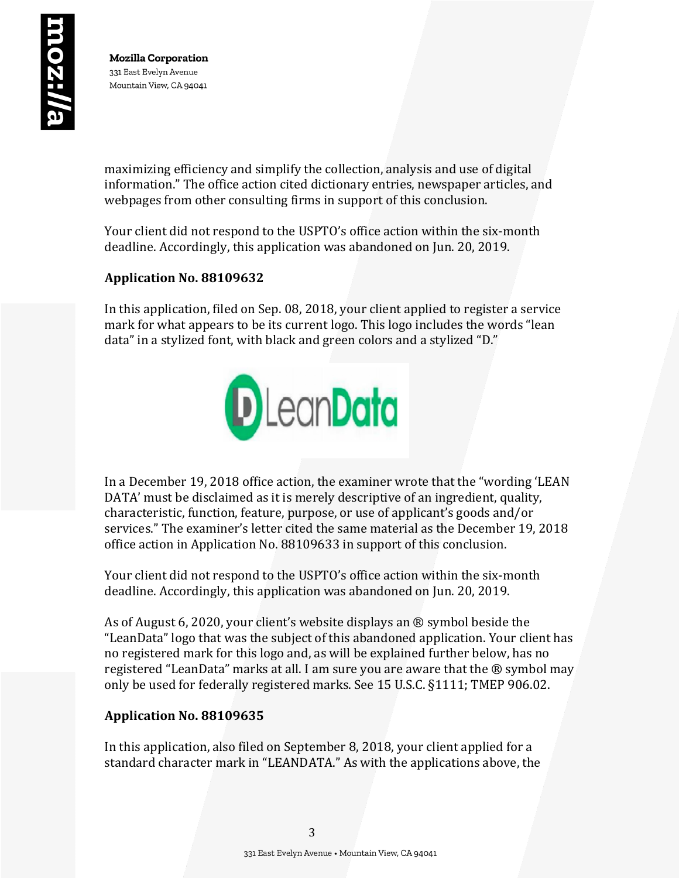maximizing efficiency and simplify the collection, analysis and use of digital information." The office action cited dictionary entries, newspaper articles, and webpages from other consulting firms in support of this conclusion.

Your client did not respond to the USPTO's office action within the six-month deadline. Accordingly, this application was abandoned on Jun. 20, 2019.

# **Application No. 88109632**

In this application, filed on Sep. 08, 2018, your client applied to register a service mark for what appears to be its current logo. This logo includes the words "lean data" in a stylized font, with black and green colors and a stylized "D."



In a December 19, 2018 office action, the examiner wrote that the "wording 'LEAN DATA' must be disclaimed as it is merely descriptive of an ingredient, quality, characteristic, function, feature, purpose, or use of applicant's goods and/or services." The examiner's letter cited the same material as the December 19, 2018 office action in Application No. 88109633 in support of this conclusion.

Your client did not respond to the USPTO's office action within the six-month deadline. Accordingly, this application was abandoned on Jun. 20, 2019.

As of August 6, 2020, your client's website displays an  $\otimes$  symbol beside the "LeanData" logo that was the subject of this abandoned application. Your client has no registered mark for this logo and, as will be explained further below, has no registered "LeanData" marks at all. I am sure you are aware that the ® symbol may only be used for federally registered marks. See 15 U.S.C. §1111; TMEP 906.02.

# **Application No. 88109635**

In this application, also filed on September 8, 2018, your client applied for a standard character mark in "LEANDATA." As with the applications above, the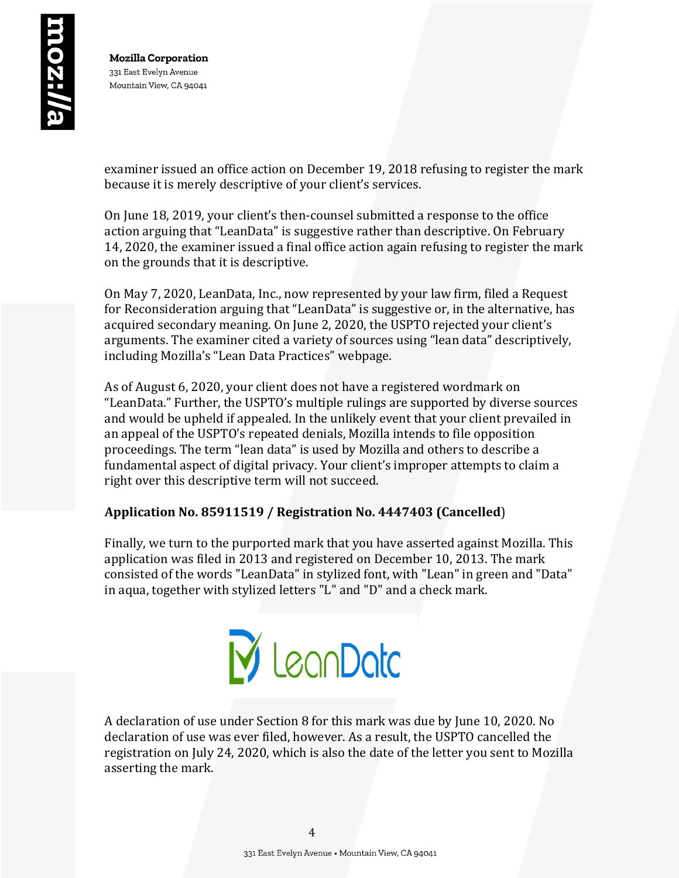examiner issued an office action on December 19, 2018 refusing to register the mark because it is merely descriptive of your client's services.

On June 18, 2019, your client's then-counsel submitted a response to the office action arguing that "LeanData" is suggestive rather than descriptive. On February 14, 2020, the examiner issued a final office action again refusing to register the mark on the grounds that it is descriptive.

On May 7, 2020, LeanData, Inc., now represented by your law firm, filed a Request for Reconsideration arguing that "LeanData" is suggestive or, in the alternative, has acquired secondary meaning. On June 2, 2020, the USPTO rejected your client's arguments. The examiner cited a variety of sources using "lean data" descriptively, including Mozilla's "Lean Data Practices" webpage.

As of August 6, 2020, your client does not have a registered wordmark on "LeanData." Further, the USPTO's multiple rulings are supported by diverse sources and would be upheld if appealed. In the unlikely event that your client prevailed in an appeal of the USPTO's repeated denials, Mozilla intends to file opposition proceedings. The term "lean data" is used by Mozilla and others to describe a fundamental aspect of digital privacy. Your client's improper attempts to claim a right over this descriptive term will not succeed.

# Application No. 85911519 / Registration No. 4447403 (Cancelled)

Finally, we turn to the purported mark that you have asserted against Mozilla. This application was filed in 2013 and registered on December 10, 2013. The mark consisted of the words "LeanData" in stylized font, with "Lean" in green and "Data" in aqua, together with stylized letters "L" and "D" and a check mark.



A declaration of use under Section 8 for this mark was due by June 10, 2020. No declaration of use was ever filed, however. As a result, the USPTO cancelled the registration on July 24, 2020, which is also the date of the letter you sent to Mozilla asserting the mark.